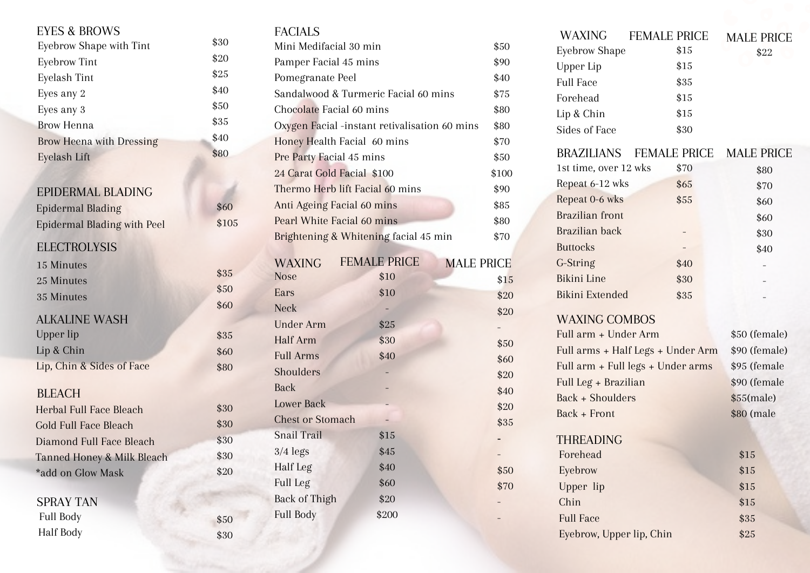# EYES & BROWS

| Eyebrow Shape with Tint         | \$30 |
|---------------------------------|------|
| <b>Eyebrow Tint</b>             | \$20 |
| Eyelash Tint                    | \$25 |
| Eyes any 2                      | \$40 |
| Eyes any 3                      | \$50 |
| Brow Henna                      | \$35 |
| <b>Brow Heena with Dressing</b> | \$40 |
| Eyelash Lift                    | \$80 |

# EPIDERMAL BLADING

| <b>Epidermal Blading</b>    |
|-----------------------------|
| Epidermal Blading with Peel |
| <b>ELECTROLYSIS</b>         |
| 15 Minutes                  |
|                             |

# 25 Minutes 35 Minutes ALKALINE WASH Upper lip Lip & Chin Lip, Chin & Sides of Face BLEACH

| Herbal Full Face Bleach    |
|----------------------------|
| Gold Full Face Bleach      |
| Diamond Full Face Bleach   |
| Tanned Honey & Milk Bleach |
| *add on Glow Mask          |
|                            |

\$50 \$30

\$35 \$50 \$60

\$35 \$60 \$80

\$30 \$30 \$30 \$30 \$20

\$60 \$105

Full Body

SPRAY TAN Full Body

Half Body

# EACIAL<sub>C</sub>

| <b>FAUIAL J</b>                               |                           |       |
|-----------------------------------------------|---------------------------|-------|
| Mini Medifacial 30 min                        |                           | \$50  |
| Pamper Facial 45 mins                         |                           | \$90  |
| Pomegranate Peel                              |                           | \$40  |
| Sandalwood & Turmeric Facial 60 mins          |                           | \$75  |
| Chocolate Facial 60 mins                      |                           | \$80  |
| Oxygen Facial -instant retivalisation 60 mins |                           | \$80  |
| Honey Health Facial 60 mins                   |                           | \$70  |
| Pre Party Facial 45 mins                      |                           | \$50  |
| 24 Carat Gold Facial \$100                    |                           | \$100 |
| Thermo Herb lift Facial 60 mins               |                           | \$90  |
| Anti Ageing Facial 60 mins                    |                           | \$85  |
| Pearl White Facial 60 mins                    |                           | \$80  |
| Brightening & Whitening facial 45 min         |                           | \$70  |
|                                               | <b>FEMALE PRICE</b>       |       |
| <b>WAXING</b><br><b>Nose</b>                  | <b>MALE PRICE</b><br>\$10 |       |
| Ears                                          | \$10                      | \$15  |
| <b>Neck</b>                                   |                           | \$20  |
| <b>Under Arm</b>                              | \$25                      | \$20  |
| Half Arm                                      | \$30                      |       |
| <b>Full Arms</b>                              | \$40                      | \$50  |
| Shoulders                                     |                           | \$60  |
| <b>Back</b>                                   |                           | \$20  |
| <b>Lower Back</b>                             |                           | \$40  |
| <b>Chest or Stomach</b>                       |                           | \$20  |
| <b>Snail Trail</b>                            | \$15                      | \$35  |
| $3/4$ legs                                    | \$45                      |       |
| Half Leg                                      | \$40                      |       |
| Full Leg                                      | \$60                      | \$50  |
| <b>Back of Thigh</b>                          | \$20                      | \$70  |
|                                               |                           |       |

\$200

- -

| <b>WAXING</b>                     | <b>FEMALE PRICE</b> | <b>MALE PRICE</b> |
|-----------------------------------|---------------------|-------------------|
| <b>Eyebrow Shape</b>              | \$15                | \$22              |
| Upper Lip                         | \$15                |                   |
| <b>Full Face</b>                  | \$35                |                   |
| Forehead                          | \$15                |                   |
| Lip & Chin                        | \$15                |                   |
| Sides of Face                     | \$30                |                   |
| BRAZILIANS                        | <b>FEMALE PRICE</b> | <b>MALE PRICE</b> |
| 1st time, over 12 wks             | \$70                | \$80              |
| Repeat 6-12 wks                   | \$65                | \$70              |
| Repeat 0-6 wks                    | \$55                | \$60              |
| <b>Brazilian</b> front            |                     | \$60              |
| Brazilian back                    |                     | \$30              |
| <b>Buttocks</b>                   |                     | \$40              |
| G-String                          | \$40                |                   |
| <b>Bikini Line</b>                | \$30                |                   |
| <b>Bikini Extended</b>            | \$35                |                   |
| <b>WAXING COMBOS</b>              |                     |                   |
| Full arm + Under Arm              |                     | \$50 (female)     |
| Full arms + Half Legs + Under Arm |                     | \$90 (female)     |
| Full arm + Full legs + Under arms |                     | \$95 (female      |
| Full Leg + Brazilian              |                     | \$90 (female      |
| <b>Back + Shoulders</b>           |                     | $$55$ (male)      |
| Back + Front                      |                     | \$80 (male        |
|                                   |                     |                   |
| <b>THREADING</b>                  |                     |                   |
| Forehead                          |                     | \$15              |
| Eyebrow                           |                     | \$15              |
| Upper lip                         |                     | \$15              |
| Chin                              |                     | \$15              |
| <b>Full Face</b>                  |                     | \$35              |
| Eyebrow, Upper lip, Chin          |                     | \$25              |